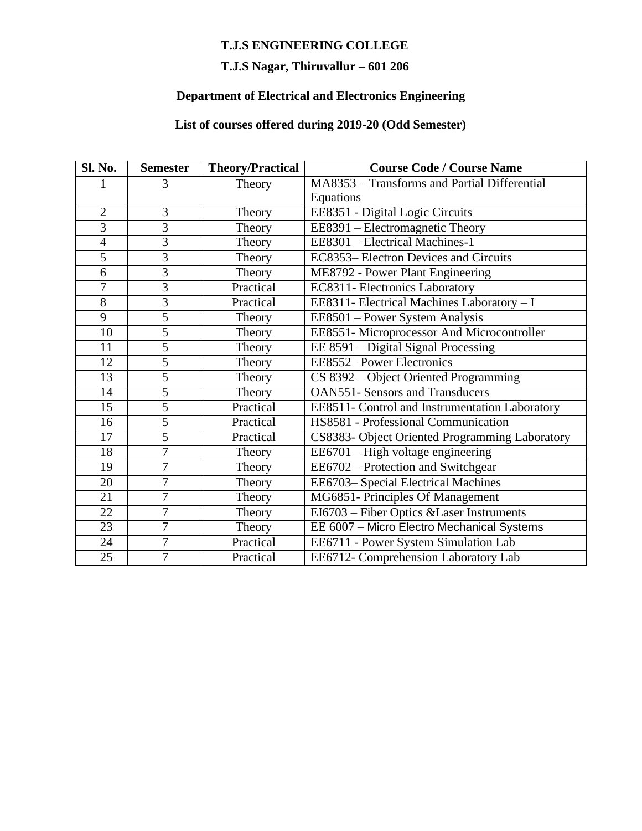#### **T.J.S ENGINEERING COLLEGE**

## **T.J.S Nagar, Thiruvallur – 601 206**

## **Department of Electrical and Electronics Engineering**

#### **List of courses offered during 2019-20 (Odd Semester)**

| Sl. No.        | <b>Semester</b> | <b>Theory/Practical</b> | <b>Course Code / Course Name</b>               |
|----------------|-----------------|-------------------------|------------------------------------------------|
|                | 3               | Theory                  | MA8353 - Transforms and Partial Differential   |
|                |                 |                         | Equations                                      |
| $\overline{2}$ | $\overline{3}$  | Theory                  | EE8351 - Digital Logic Circuits                |
| $\overline{3}$ | $\overline{3}$  | Theory                  | EE8391 – Electromagnetic Theory                |
| $\overline{4}$ | $\overline{3}$  | Theory                  | EE8301 - Electrical Machines-1                 |
| $\overline{5}$ | $\overline{3}$  | Theory                  | EC8353– Electron Devices and Circuits          |
| 6              | $\overline{3}$  | Theory                  | ME8792 - Power Plant Engineering               |
| $\overline{7}$ | $\overline{3}$  | Practical               | EC8311- Electronics Laboratory                 |
| $\overline{8}$ | $\overline{3}$  | Practical               | EE8311- Electrical Machines Laboratory - I     |
| $\overline{9}$ | 5               | Theory                  | EE8501 - Power System Analysis                 |
| 10             | 5               | Theory                  | EE8551- Microprocessor And Microcontroller     |
| 11             | $\overline{5}$  | Theory                  | EE 8591 - Digital Signal Processing            |
| 12             | 5               | Theory                  | EE8552- Power Electronics                      |
| 13             | $\overline{5}$  | Theory                  | CS 8392 - Object Oriented Programming          |
| 14             | $\overline{5}$  | Theory                  | <b>OAN551- Sensors and Transducers</b>         |
| 15             | $\overline{5}$  | Practical               | EE8511- Control and Instrumentation Laboratory |
| 16             | $\overline{5}$  | Practical               | HS8581 - Professional Communication            |
| 17             | $\overline{5}$  | Practical               | CS8383- Object Oriented Programming Laboratory |
| 18             | 7               | Theory                  | EE6701 - High voltage engineering              |
| 19             | $\overline{7}$  | Theory                  | EE6702 – Protection and Switchgear             |
| 20             | 7               | Theory                  | EE6703-Special Electrical Machines             |
| 21             | 7               | Theory                  | MG6851- Principles Of Management               |
| 22             | $\overline{7}$  | Theory                  | EI6703 - Fiber Optics & Laser Instruments      |
| 23             | 7               | Theory                  | EE 6007 - Micro Electro Mechanical Systems     |
| 24             | $\overline{7}$  | Practical               | EE6711 - Power System Simulation Lab           |
| 25             | $\overline{7}$  | Practical               | EE6712- Comprehension Laboratory Lab           |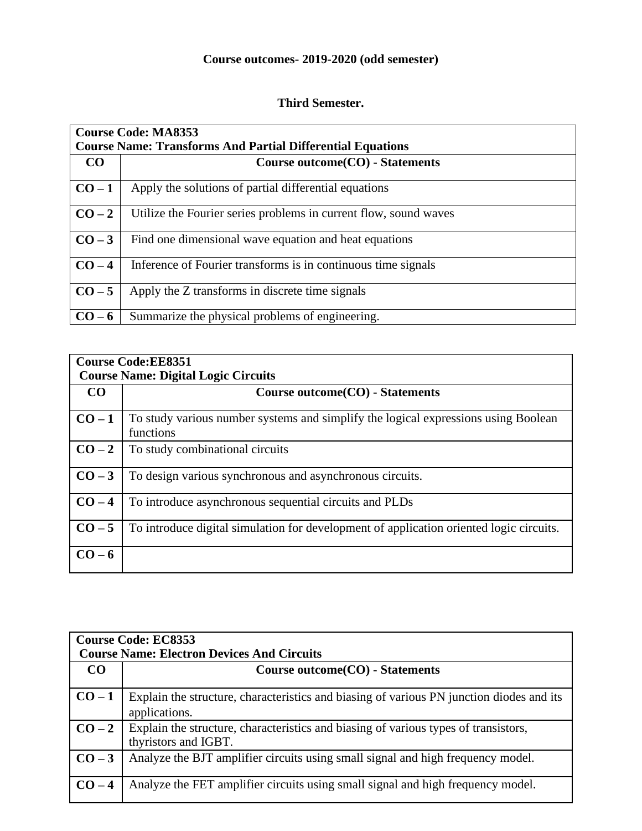## **Course outcomes- 2019-2020 (odd semester)**

#### **Third Semester.**

| <b>Course Code: MA8353</b><br><b>Course Name: Transforms And Partial Differential Equations</b> |                                                                  |  |
|-------------------------------------------------------------------------------------------------|------------------------------------------------------------------|--|
| CO                                                                                              | Course outcome (CO) - Statements                                 |  |
| $CO-1$                                                                                          | Apply the solutions of partial differential equations            |  |
| $CO-2$                                                                                          | Utilize the Fourier series problems in current flow, sound waves |  |
| $CO-3$                                                                                          | Find one dimensional wave equation and heat equations            |  |
| $CO-4$                                                                                          | Inference of Fourier transforms is in continuous time signals    |  |
| $CO-5$                                                                                          | Apply the Z transforms in discrete time signals                  |  |
| $CO-6$                                                                                          | Summarize the physical problems of engineering.                  |  |

| <b>Course Code:EE8351</b><br><b>Course Name: Digital Logic Circuits</b> |                                                                                                 |  |
|-------------------------------------------------------------------------|-------------------------------------------------------------------------------------------------|--|
| CO                                                                      | Course outcome(CO) - Statements                                                                 |  |
| $CO-1$                                                                  | To study various number systems and simplify the logical expressions using Boolean<br>functions |  |
| $CO-2$                                                                  | To study combinational circuits                                                                 |  |
| $CO-3$                                                                  | To design various synchronous and asynchronous circuits.                                        |  |
| $CO-4$                                                                  | To introduce asynchronous sequential circuits and PLDs                                          |  |
| $CO-5$                                                                  | To introduce digital simulation for development of application oriented logic circuits.         |  |
| $CO-6$                                                                  |                                                                                                 |  |

| <b>Course Code: EC8353</b><br><b>Course Name: Electron Devices And Circuits</b> |                                                                                                             |  |
|---------------------------------------------------------------------------------|-------------------------------------------------------------------------------------------------------------|--|
| CO                                                                              | Course outcome (CO) - Statements                                                                            |  |
| $CO-1$                                                                          | Explain the structure, characteristics and biasing of various PN junction diodes and its<br>applications.   |  |
| $CO-2$                                                                          | Explain the structure, characteristics and biasing of various types of transistors,<br>thyristors and IGBT. |  |
| $CO-3$                                                                          | Analyze the BJT amplifier circuits using small signal and high frequency model.                             |  |
| $CO-4$                                                                          | Analyze the FET amplifier circuits using small signal and high frequency model.                             |  |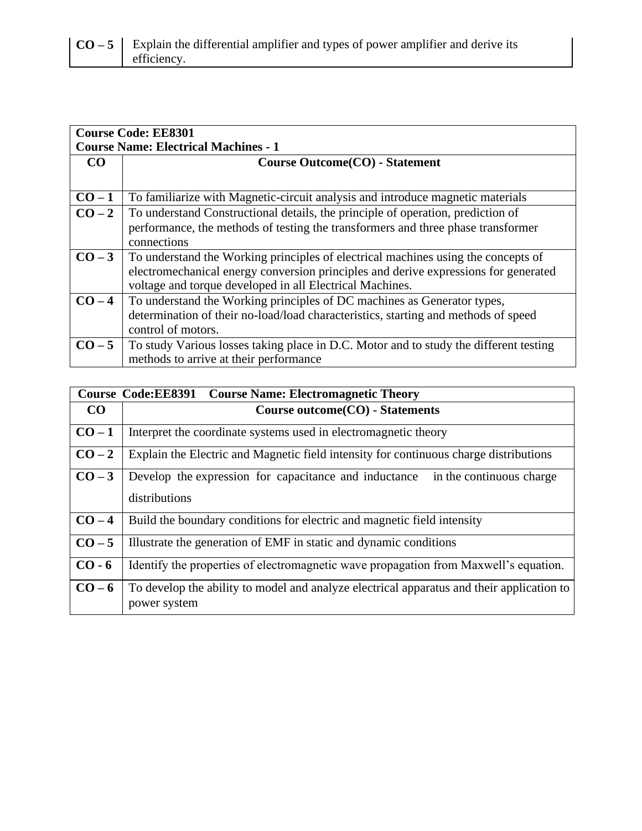| <b>Course Code: EE8301</b><br><b>Course Name: Electrical Machines - 1</b> |                                                                                       |  |
|---------------------------------------------------------------------------|---------------------------------------------------------------------------------------|--|
| <b>CO</b>                                                                 | Course Outcome (CO) - Statement                                                       |  |
|                                                                           |                                                                                       |  |
| $CO-1$                                                                    | To familiarize with Magnetic-circuit analysis and introduce magnetic materials        |  |
| $CO-2$                                                                    | To understand Constructional details, the principle of operation, prediction of       |  |
|                                                                           | performance, the methods of testing the transformers and three phase transformer      |  |
|                                                                           | connections                                                                           |  |
| $CO-3$                                                                    | To understand the Working principles of electrical machines using the concepts of     |  |
|                                                                           | electromechanical energy conversion principles and derive expressions for generated   |  |
|                                                                           | voltage and torque developed in all Electrical Machines.                              |  |
| $CO-4$                                                                    | To understand the Working principles of DC machines as Generator types,               |  |
|                                                                           | determination of their no-load/load characteristics, starting and methods of speed    |  |
|                                                                           | control of motors.                                                                    |  |
| $CO-5$                                                                    | To study Various losses taking place in D.C. Motor and to study the different testing |  |
|                                                                           | methods to arrive at their performance                                                |  |

| Course Code: EE8391 Course Name: Electromagnetic Theory |                                                                                                           |
|---------------------------------------------------------|-----------------------------------------------------------------------------------------------------------|
| CO                                                      | Course outcome (CO) - Statements                                                                          |
| $CO-1$                                                  | Interpret the coordinate systems used in electromagnetic theory                                           |
| $CO-2$                                                  | Explain the Electric and Magnetic field intensity for continuous charge distributions                     |
| $CO-3$                                                  | Develop the expression for capacitance and inductance in the continuous charge<br>distributions           |
| $CO-4$                                                  | Build the boundary conditions for electric and magnetic field intensity                                   |
| $CO-5$                                                  | Illustrate the generation of EMF in static and dynamic conditions                                         |
| $CO - 6$                                                | Identify the properties of electromagnetic wave propagation from Maxwell's equation.                      |
| $CO-6$                                                  | To develop the ability to model and analyze electrical apparatus and their application to<br>power system |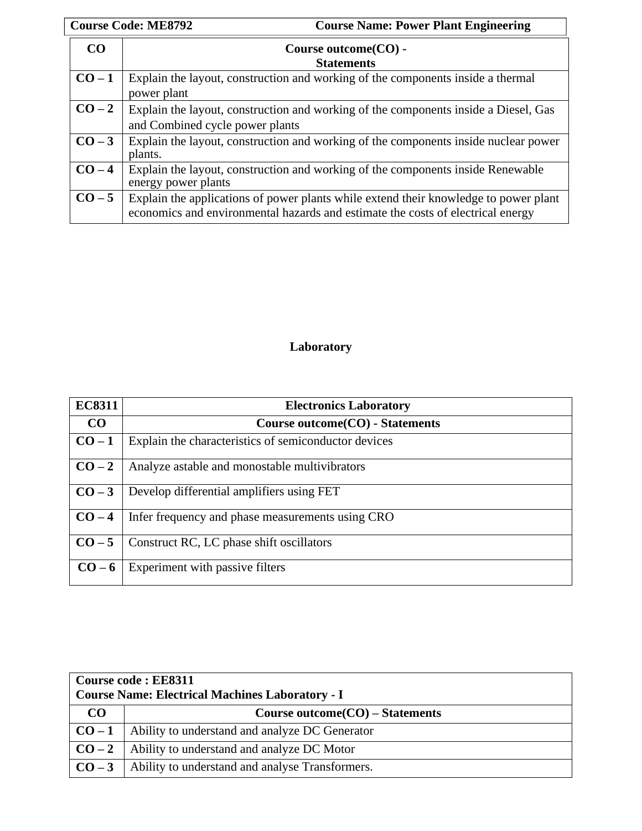|        | <b>Course Code: ME8792</b><br><b>Course Name: Power Plant Engineering</b>                                                                                               |
|--------|-------------------------------------------------------------------------------------------------------------------------------------------------------------------------|
| CO     | Course outcome $(CO)$ -                                                                                                                                                 |
|        | <b>Statements</b>                                                                                                                                                       |
| $CO-1$ | Explain the layout, construction and working of the components inside a thermal                                                                                         |
|        | power plant                                                                                                                                                             |
| $CO-2$ | Explain the layout, construction and working of the components inside a Diesel, Gas                                                                                     |
|        | and Combined cycle power plants                                                                                                                                         |
| $CO-3$ | Explain the layout, construction and working of the components inside nuclear power                                                                                     |
|        | plants.                                                                                                                                                                 |
| $CO-4$ | Explain the layout, construction and working of the components inside Renewable<br>energy power plants                                                                  |
|        |                                                                                                                                                                         |
| $CO-5$ | Explain the applications of power plants while extend their knowledge to power plant<br>economics and environmental hazards and estimate the costs of electrical energy |
|        |                                                                                                                                                                         |

## **Laboratory**

| <b>EC8311</b> | <b>Electronics Laboratory</b>                        |
|---------------|------------------------------------------------------|
| $\bf CO$      | Course outcome (CO) - Statements                     |
| $CO-1$        | Explain the characteristics of semiconductor devices |
| $CO-2$        | Analyze astable and monostable multivibrators        |
| $CO-3$        | Develop differential amplifiers using FET            |
| $CO-4$        | Infer frequency and phase measurements using CRO     |
| $CO-5$        | Construct RC, LC phase shift oscillators             |
| $CO-6$        | Experiment with passive filters                      |

| Course code: EE8311<br><b>Course Name: Electrical Machines Laboratory - I</b> |                                                 |  |
|-------------------------------------------------------------------------------|-------------------------------------------------|--|
| CO                                                                            | Course outcome $CO$ – Statements                |  |
| $CO-1$                                                                        | Ability to understand and analyze DC Generator  |  |
| $CO-2$                                                                        | Ability to understand and analyze DC Motor      |  |
| $CO-3$                                                                        | Ability to understand and analyse Transformers. |  |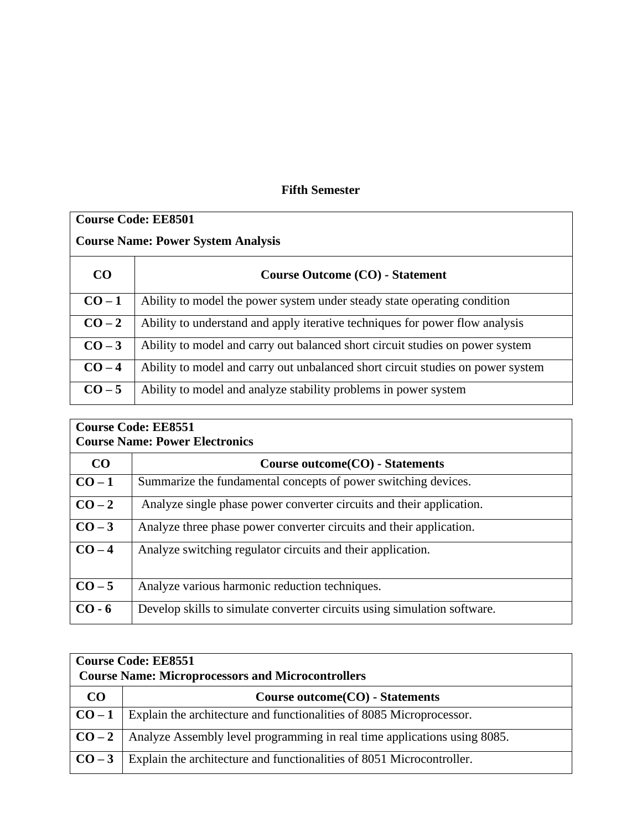#### **Fifth Semester**

| <b>Course Code: EE8501</b>                |                                                                                 |
|-------------------------------------------|---------------------------------------------------------------------------------|
| <b>Course Name: Power System Analysis</b> |                                                                                 |
| CO                                        | <b>Course Outcome (CO) - Statement</b>                                          |
| $CO-1$                                    | Ability to model the power system under steady state operating condition        |
| $CO-2$                                    | Ability to understand and apply iterative techniques for power flow analysis    |
| $CO-3$                                    | Ability to model and carry out balanced short circuit studies on power system   |
| $CO-4$                                    | Ability to model and carry out unbalanced short circuit studies on power system |
| $CO-5$                                    | Ability to model and analyze stability problems in power system                 |

| <b>Course Code: EE8551</b><br><b>Course Name: Power Electronics</b> |                                                                          |
|---------------------------------------------------------------------|--------------------------------------------------------------------------|
| CO                                                                  | Course outcome (CO) - Statements                                         |
| $CO-1$                                                              | Summarize the fundamental concepts of power switching devices.           |
| $CO-2$                                                              | Analyze single phase power converter circuits and their application.     |
| $CO-3$                                                              | Analyze three phase power converter circuits and their application.      |
| $CO-4$                                                              | Analyze switching regulator circuits and their application.              |
| $CO-5$                                                              | Analyze various harmonic reduction techniques.                           |
| $CO - 6$                                                            | Develop skills to simulate converter circuits using simulation software. |

| <b>Course Code: EE8551</b><br><b>Course Name: Microprocessors and Microcontrollers</b> |                                                                          |  |
|----------------------------------------------------------------------------------------|--------------------------------------------------------------------------|--|
| <b>CO</b>                                                                              | Course outcome(CO) - Statements                                          |  |
| $CO-1$                                                                                 | Explain the architecture and functionalities of 8085 Microprocessor.     |  |
| $\overline{CO-2}$                                                                      | Analyze Assembly level programming in real time applications using 8085. |  |
| $\overline{CO} - 3$                                                                    | Explain the architecture and functionalities of 8051 Microcontroller.    |  |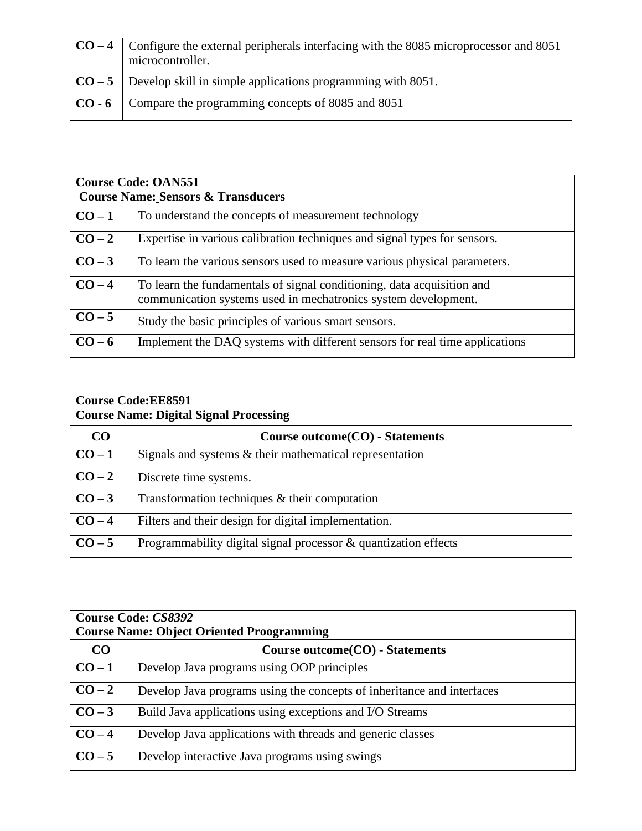| $\vert$ CO – 4 $\vert$ Configure the external peripherals interfacing with the 8085 microprocessor and 8051<br>microcontroller. |
|---------------------------------------------------------------------------------------------------------------------------------|
| $\vert$ CO – 5 $\vert$ Develop skill in simple applications programming with 8051.                                              |
| CO - 6   Compare the programming concepts of 8085 and 8051                                                                      |

|        | <b>Course Code: OAN551</b><br><b>Course Name: Sensors &amp; Transducers</b>                                                              |  |
|--------|------------------------------------------------------------------------------------------------------------------------------------------|--|
| $CO-1$ | To understand the concepts of measurement technology                                                                                     |  |
| $CO-2$ | Expertise in various calibration techniques and signal types for sensors.                                                                |  |
| $CO-3$ | To learn the various sensors used to measure various physical parameters.                                                                |  |
| $CO-4$ | To learn the fundamentals of signal conditioning, data acquisition and<br>communication systems used in mechatronics system development. |  |
| $CO-5$ | Study the basic principles of various smart sensors.                                                                                     |  |
| $CO-6$ | Implement the DAQ systems with different sensors for real time applications                                                              |  |

| <b>Course Code:EE8591</b><br><b>Course Name: Digital Signal Processing</b> |                                                                 |
|----------------------------------------------------------------------------|-----------------------------------------------------------------|
| CO                                                                         | Course outcome(CO) - Statements                                 |
| $CO-1$                                                                     | Signals and systems $&$ their mathematical representation       |
| $CO-2$                                                                     | Discrete time systems.                                          |
| $CO-3$                                                                     | Transformation techniques $\&$ their computation                |
| $CO-4$                                                                     | Filters and their design for digital implementation.            |
| $CO-5$                                                                     | Programmability digital signal processor & quantization effects |

| <b>Course Code: CS8392</b><br><b>Course Name: Object Oriented Proogramming</b> |                                                                        |
|--------------------------------------------------------------------------------|------------------------------------------------------------------------|
| CO                                                                             | Course outcome(CO) - Statements                                        |
| $CO-1$                                                                         | Develop Java programs using OOP principles                             |
| $CO-2$                                                                         | Develop Java programs using the concepts of inheritance and interfaces |
| $CO-3$                                                                         | Build Java applications using exceptions and I/O Streams               |
| $CO-4$                                                                         | Develop Java applications with threads and generic classes             |
| $CO-5$                                                                         | Develop interactive Java programs using swings                         |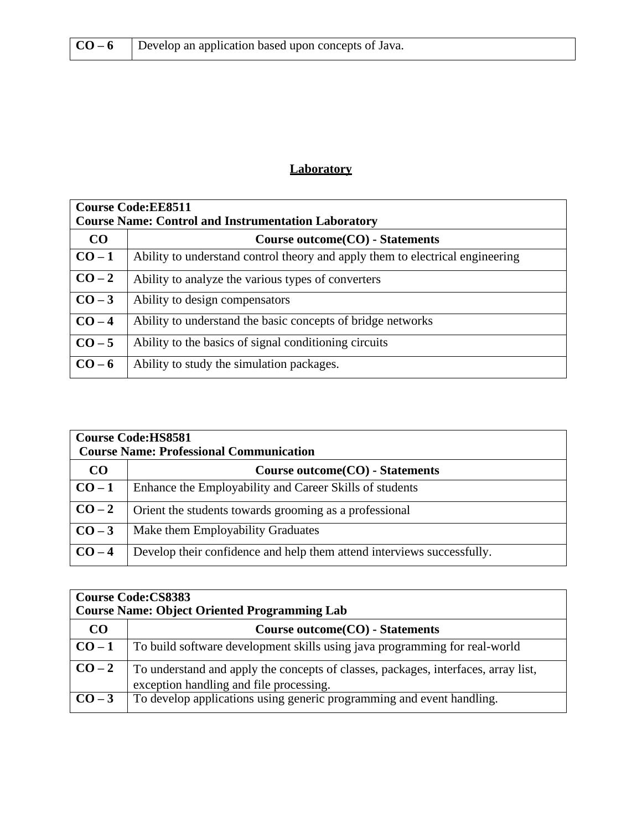| $CO-6$ |  | Develop an application based upon concepts of Java. |
|--------|--|-----------------------------------------------------|
|--------|--|-----------------------------------------------------|

#### **Laboratory**

| <b>Course Code:EE8511</b><br><b>Course Name: Control and Instrumentation Laboratory</b> |                                                                               |
|-----------------------------------------------------------------------------------------|-------------------------------------------------------------------------------|
| CO                                                                                      | Course outcome (CO) - Statements                                              |
| $CO-1$                                                                                  | Ability to understand control theory and apply them to electrical engineering |
| $CO-2$                                                                                  | Ability to analyze the various types of converters                            |
| $CO-3$                                                                                  | Ability to design compensators                                                |
| $CO-4$                                                                                  | Ability to understand the basic concepts of bridge networks                   |
| $CO-5$                                                                                  | Ability to the basics of signal conditioning circuits                         |
| $CO-6$                                                                                  | Ability to study the simulation packages.                                     |

| <b>Course Code:HS8581</b><br><b>Course Name: Professional Communication</b> |                                                                        |
|-----------------------------------------------------------------------------|------------------------------------------------------------------------|
| CO                                                                          | Course outcome(CO) - Statements                                        |
| $CO-1$                                                                      | Enhance the Employability and Career Skills of students                |
| $CO-2$                                                                      | Orient the students towards grooming as a professional                 |
| $CO-3$                                                                      | Make them Employability Graduates                                      |
| $CO-4$                                                                      | Develop their confidence and help them attend interviews successfully. |

| <b>Course Code:CS8383</b><br><b>Course Name: Object Oriented Programming Lab</b> |                                                                                                                               |
|----------------------------------------------------------------------------------|-------------------------------------------------------------------------------------------------------------------------------|
| CO                                                                               | Course outcome(CO) - Statements                                                                                               |
| $CO-1$                                                                           | To build software development skills using java programming for real-world                                                    |
| $\mid$ CO – 2                                                                    | To understand and apply the concepts of classes, packages, interfaces, array list,<br>exception handling and file processing. |
| $\overline{CO} - 3$                                                              | To develop applications using generic programming and event handling.                                                         |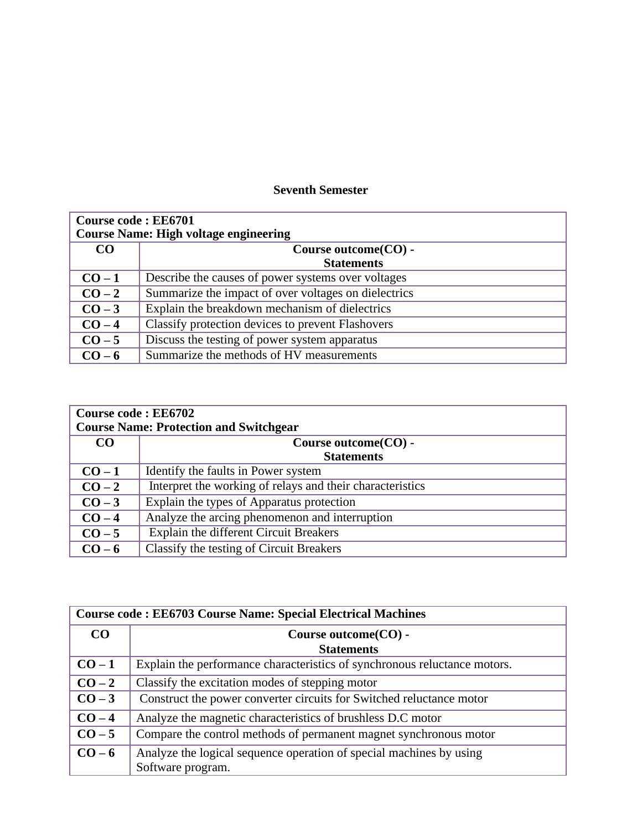#### **Seventh Semester**

| <b>Course code: EE6701</b><br><b>Course Name: High voltage engineering</b> |                                                      |
|----------------------------------------------------------------------------|------------------------------------------------------|
| CO                                                                         | Course outcome (CO) -<br><b>Statements</b>           |
| $CO-1$                                                                     | Describe the causes of power systems over voltages   |
| $CO-2$                                                                     | Summarize the impact of over voltages on dielectrics |
| $CO-3$                                                                     | Explain the breakdown mechanism of dielectrics       |
| $CO-4$                                                                     | Classify protection devices to prevent Flashovers    |
| $CO-5$                                                                     | Discuss the testing of power system apparatus        |
| $CO-6$                                                                     | Summarize the methods of HV measurements             |

| <b>Course code: EE6702</b><br><b>Course Name: Protection and Switchgear</b> |                                                           |
|-----------------------------------------------------------------------------|-----------------------------------------------------------|
| CO.                                                                         | Course outcome (CO) -<br><b>Statements</b>                |
| $CO-1$                                                                      | Identify the faults in Power system                       |
| $CO-2$                                                                      | Interpret the working of relays and their characteristics |
| $CO-3$                                                                      | Explain the types of Apparatus protection                 |
| $CO-4$                                                                      | Analyze the arcing phenomenon and interruption            |
| $CO-5$                                                                      | Explain the different Circuit Breakers                    |
| $CO-6$                                                                      | Classify the testing of Circuit Breakers                  |

| <b>Course code: EE6703 Course Name: Special Electrical Machines</b> |                                                                           |
|---------------------------------------------------------------------|---------------------------------------------------------------------------|
| CO                                                                  | Course outcome(CO) -                                                      |
|                                                                     | <b>Statements</b>                                                         |
| $CO-1$                                                              | Explain the performance characteristics of synchronous reluctance motors. |
| $CO-2$                                                              | Classify the excitation modes of stepping motor                           |
| $CO-3$                                                              | Construct the power converter circuits for Switched reluctance motor      |
| $CO-4$                                                              | Analyze the magnetic characteristics of brushless D.C motor               |
| $CO-5$                                                              | Compare the control methods of permanent magnet synchronous motor         |
| $CO-6$                                                              | Analyze the logical sequence operation of special machines by using       |
|                                                                     | Software program.                                                         |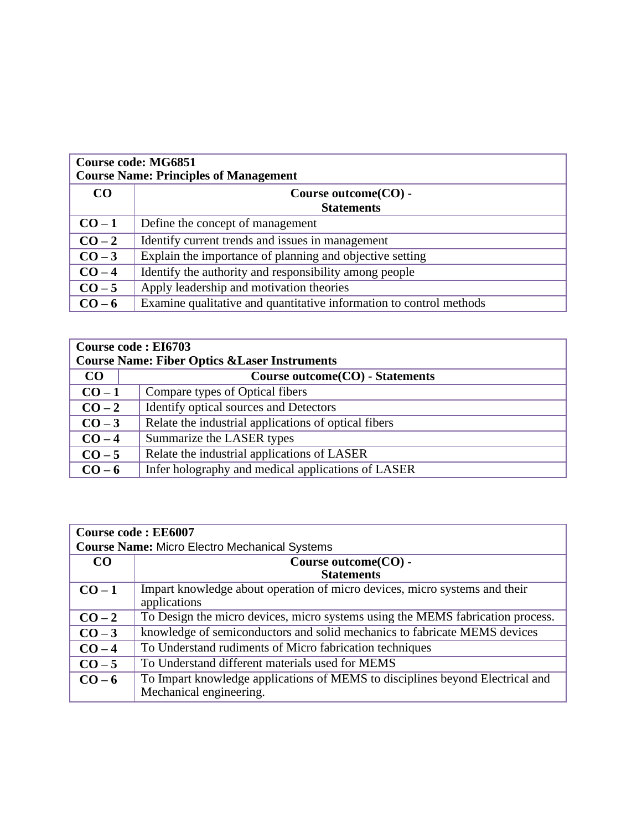| <b>Course code: MG6851</b><br><b>Course Name: Principles of Management</b> |                                                                     |
|----------------------------------------------------------------------------|---------------------------------------------------------------------|
| CO                                                                         | Course outcome (CO) -                                               |
|                                                                            | <b>Statements</b>                                                   |
| $CO-1$                                                                     | Define the concept of management                                    |
| $CO-2$                                                                     | Identify current trends and issues in management                    |
| $CO-3$                                                                     | Explain the importance of planning and objective setting            |
| $CO-4$                                                                     | Identify the authority and responsibility among people              |
| $CO-5$                                                                     | Apply leadership and motivation theories                            |
| $CO-6$                                                                     | Examine qualitative and quantitative information to control methods |

| Course code: EI6703                                      |                                                      |  |
|----------------------------------------------------------|------------------------------------------------------|--|
| <b>Course Name: Fiber Optics &amp; Laser Instruments</b> |                                                      |  |
| CO                                                       | Course outcome (CO) - Statements                     |  |
| $CO-1$                                                   | Compare types of Optical fibers                      |  |
| $CO-2$                                                   | Identify optical sources and Detectors               |  |
| $CO-3$                                                   | Relate the industrial applications of optical fibers |  |
| $CO-4$                                                   | Summarize the LASER types                            |  |
| $CO-5$                                                   | Relate the industrial applications of LASER          |  |
| $CO-6$                                                   | Infer holography and medical applications of LASER   |  |

| <b>Course code: EE6007</b>                           |                                                                                                          |  |
|------------------------------------------------------|----------------------------------------------------------------------------------------------------------|--|
| <b>Course Name: Micro Electro Mechanical Systems</b> |                                                                                                          |  |
| CO <sub>1</sub>                                      | Course outcome (CO) -                                                                                    |  |
|                                                      | <b>Statements</b>                                                                                        |  |
| $CO-1$                                               | Impart knowledge about operation of micro devices, micro systems and their<br>applications               |  |
| $CO-2$                                               | To Design the micro devices, micro systems using the MEMS fabrication process.                           |  |
| $CO-3$                                               | knowledge of semiconductors and solid mechanics to fabricate MEMS devices                                |  |
| $CO-4$                                               | To Understand rudiments of Micro fabrication techniques                                                  |  |
| $CO-5$                                               | To Understand different materials used for MEMS                                                          |  |
| $CO-6$                                               | To Impart knowledge applications of MEMS to disciplines beyond Electrical and<br>Mechanical engineering. |  |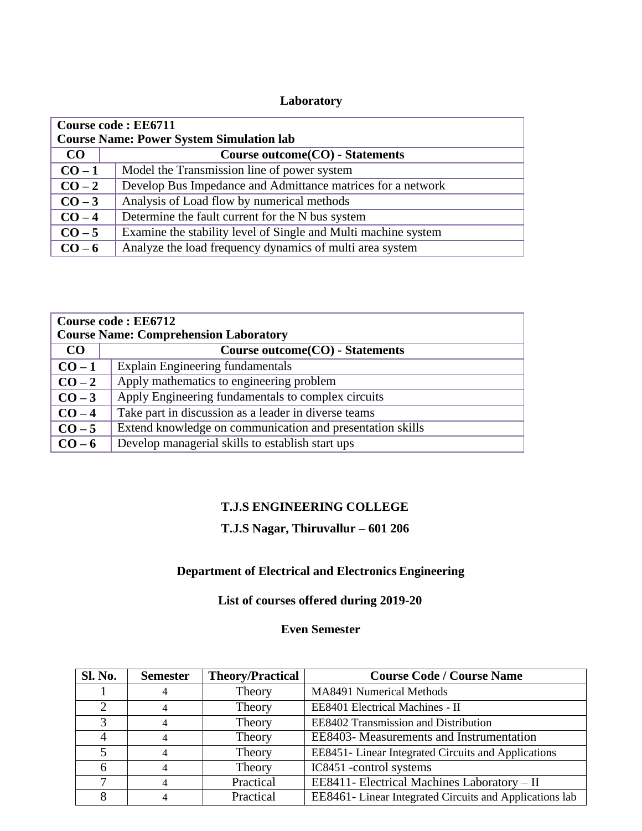#### **Laboratory**

| Course code: EE6711                             |                                                                |  |
|-------------------------------------------------|----------------------------------------------------------------|--|
| <b>Course Name: Power System Simulation lab</b> |                                                                |  |
| CO                                              | Course outcome(CO) - Statements                                |  |
| $CO-1$                                          | Model the Transmission line of power system                    |  |
| $CO-2$                                          | Develop Bus Impedance and Admittance matrices for a network    |  |
| $CO-3$                                          | Analysis of Load flow by numerical methods                     |  |
| $CO-4$                                          | Determine the fault current for the N bus system               |  |
| $CO-5$                                          | Examine the stability level of Single and Multi machine system |  |
| $CO-6$                                          | Analyze the load frequency dynamics of multi area system       |  |

| Course code: EE6712<br><b>Course Name: Comprehension Laboratory</b> |                                                           |  |
|---------------------------------------------------------------------|-----------------------------------------------------------|--|
| CO                                                                  | Course outcome(CO) - Statements                           |  |
| $CO-1$                                                              | <b>Explain Engineering fundamentals</b>                   |  |
| $CO-2$                                                              | Apply mathematics to engineering problem                  |  |
| $CO-3$                                                              | Apply Engineering fundamentals to complex circuits        |  |
| $CO-4$                                                              | Take part in discussion as a leader in diverse teams      |  |
| $CO-5$                                                              | Extend knowledge on communication and presentation skills |  |
| $CO-6$                                                              | Develop managerial skills to establish start ups          |  |

#### **T.J.S ENGINEERING COLLEGE**

#### **T.J.S Nagar, Thiruvallur – 601 206**

#### **Department of Electrical and Electronics Engineering**

#### **List of courses offered during 2019-20**

#### **Even Semester**

| <b>Sl. No.</b> | <b>Semester</b> | <b>Theory/Practical</b> | <b>Course Code / Course Name</b>                        |
|----------------|-----------------|-------------------------|---------------------------------------------------------|
|                |                 | Theory                  | MA8491 Numerical Methods                                |
|                |                 | Theory                  | EE8401 Electrical Machines - II                         |
| 3              |                 | Theory                  | EE8402 Transmission and Distribution                    |
|                |                 | Theory                  | EE8403- Measurements and Instrumentation                |
| 5              |                 | Theory                  | EE8451- Linear Integrated Circuits and Applications     |
| 6              |                 | Theory                  | IC8451 -control systems                                 |
|                |                 | Practical               | EE8411- Electrical Machines Laboratory - II             |
|                |                 | Practical               | EE8461- Linear Integrated Circuits and Applications lab |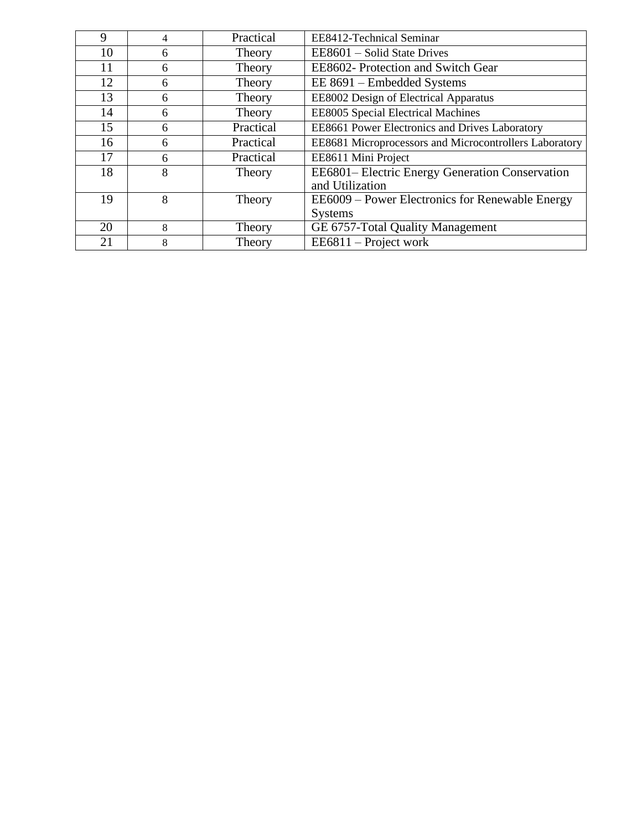| 9  | 4 | Practical | EE8412-Technical Seminar                               |
|----|---|-----------|--------------------------------------------------------|
| 10 | 6 | Theory    | EE8601 – Solid State Drives                            |
| 11 | 6 | Theory    | EE8602- Protection and Switch Gear                     |
| 12 | 6 | Theory    | EE 8691 - Embedded Systems                             |
| 13 | 6 | Theory    | EE8002 Design of Electrical Apparatus                  |
| 14 | 6 | Theory    | <b>EE8005 Special Electrical Machines</b>              |
| 15 | 6 | Practical | EE8661 Power Electronics and Drives Laboratory         |
| 16 | 6 | Practical | EE8681 Microprocessors and Microcontrollers Laboratory |
| 17 | 6 | Practical | EE8611 Mini Project                                    |
| 18 | 8 | Theory    | EE6801- Electric Energy Generation Conservation        |
|    |   |           | and Utilization                                        |
| 19 | 8 | Theory    | EE6009 – Power Electronics for Renewable Energy        |
|    |   |           | <b>Systems</b>                                         |
| 20 | 8 | Theory    | GE 6757-Total Quality Management                       |
| 21 | 8 | Theory    | $EE6811 - Project work$                                |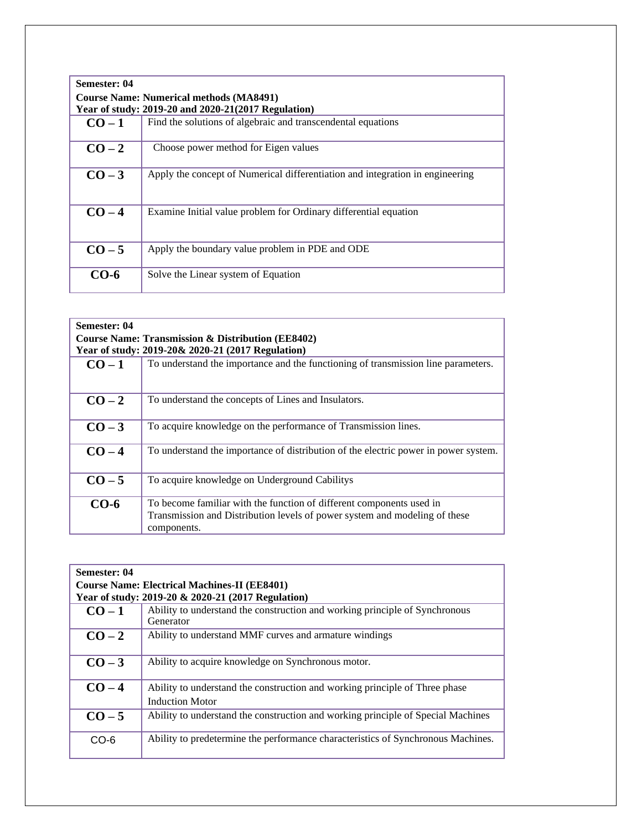| Semester: 04<br><b>Course Name: Numerical methods (MA8491)</b><br>Year of study: 2019-20 and 2020-21(2017 Regulation) |                                                                               |  |
|-----------------------------------------------------------------------------------------------------------------------|-------------------------------------------------------------------------------|--|
| $CO-1$                                                                                                                | Find the solutions of algebraic and transcendental equations                  |  |
| $CO-2$                                                                                                                | Choose power method for Eigen values                                          |  |
| $CO-3$                                                                                                                | Apply the concept of Numerical differentiation and integration in engineering |  |
| $CO-4$                                                                                                                | Examine Initial value problem for Ordinary differential equation              |  |
| $CO-5$                                                                                                                | Apply the boundary value problem in PDE and ODE                               |  |
| CO-6                                                                                                                  | Solve the Linear system of Equation                                           |  |

| Semester: 04<br>Course Name: Transmission & Distribution (EE8402)<br>Year of study: 2019-20& 2020-21 (2017 Regulation) |                                                                                                                                                                   |  |
|------------------------------------------------------------------------------------------------------------------------|-------------------------------------------------------------------------------------------------------------------------------------------------------------------|--|
| $CO-1$                                                                                                                 | To understand the importance and the functioning of transmission line parameters.                                                                                 |  |
| $CO-2$                                                                                                                 | To understand the concepts of Lines and Insulators.                                                                                                               |  |
| $CO-3$                                                                                                                 | To acquire knowledge on the performance of Transmission lines.                                                                                                    |  |
| $CO-4$                                                                                                                 | To understand the importance of distribution of the electric power in power system.                                                                               |  |
| $CO-5$                                                                                                                 | To acquire knowledge on Underground Cabilitys                                                                                                                     |  |
| $CO-6$                                                                                                                 | To become familiar with the function of different components used in<br>Transmission and Distribution levels of power system and modeling of these<br>components. |  |

| Semester: 04<br><b>Course Name: Electrical Machines-II (EE8401)</b><br>Year of study: 2019-20 & 2020-21 (2017 Regulation) |                                                                                                       |  |
|---------------------------------------------------------------------------------------------------------------------------|-------------------------------------------------------------------------------------------------------|--|
| $CO-1$                                                                                                                    | Ability to understand the construction and working principle of Synchronous<br>Generator              |  |
| $CO-2$                                                                                                                    | Ability to understand MMF curves and armature windings                                                |  |
| $CO-3$                                                                                                                    | Ability to acquire knowledge on Synchronous motor.                                                    |  |
| $CO-4$                                                                                                                    | Ability to understand the construction and working principle of Three phase<br><b>Induction Motor</b> |  |
| $CO-5$                                                                                                                    | Ability to understand the construction and working principle of Special Machines                      |  |
| $CO-6$                                                                                                                    | Ability to predetermine the performance characteristics of Synchronous Machines.                      |  |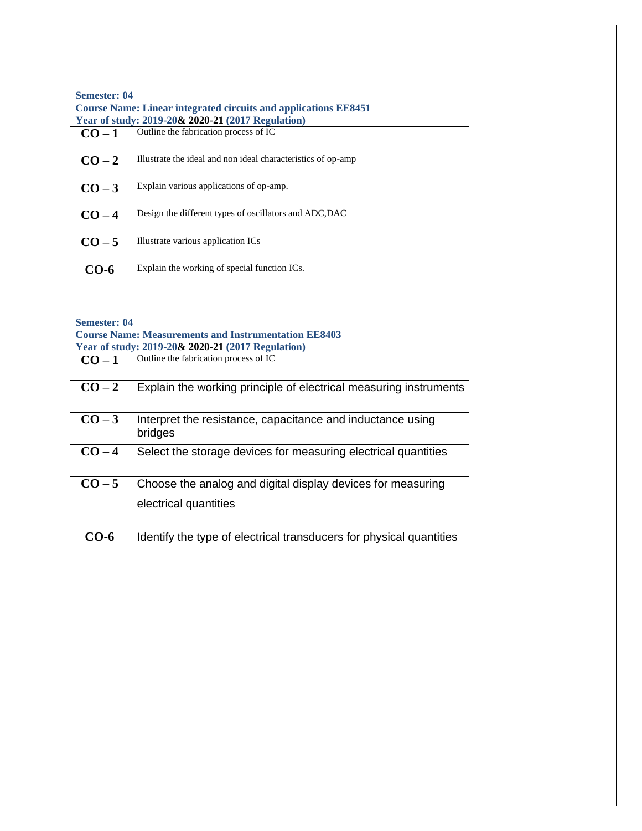| <b>Semester: 04</b> | <b>Course Name: Linear integrated circuits and applications EE8451</b><br>Year of study: 2019-20& 2020-21 (2017 Regulation) |
|---------------------|-----------------------------------------------------------------------------------------------------------------------------|
| $CO-1$              | Outline the fabrication process of IC                                                                                       |
| $CO-2$              | Illustrate the ideal and non ideal characteristics of op-amp                                                                |
| $CO-3$              | Explain various applications of op-amp.                                                                                     |
| $CO-4$              | Design the different types of oscillators and ADC, DAC                                                                      |
| $CO-5$              | Illustrate various application ICs                                                                                          |
| CO-6                | Explain the working of special function ICs.                                                                                |

| <b>Semester: 04</b><br><b>Course Name: Measurements and Instrumentation EE8403</b><br>Year of study: 2019-20& 2020-21 (2017 Regulation) |                                                                                      |  |
|-----------------------------------------------------------------------------------------------------------------------------------------|--------------------------------------------------------------------------------------|--|
| $CO-1$                                                                                                                                  | Outline the fabrication process of IC                                                |  |
| $CO-2$                                                                                                                                  | Explain the working principle of electrical measuring instruments                    |  |
| $CO-3$                                                                                                                                  | Interpret the resistance, capacitance and inductance using<br>bridges                |  |
| $CO-4$                                                                                                                                  | Select the storage devices for measuring electrical quantities                       |  |
| $CO-5$                                                                                                                                  | Choose the analog and digital display devices for measuring<br>electrical quantities |  |
| $CO-6$                                                                                                                                  | Identify the type of electrical transducers for physical quantities                  |  |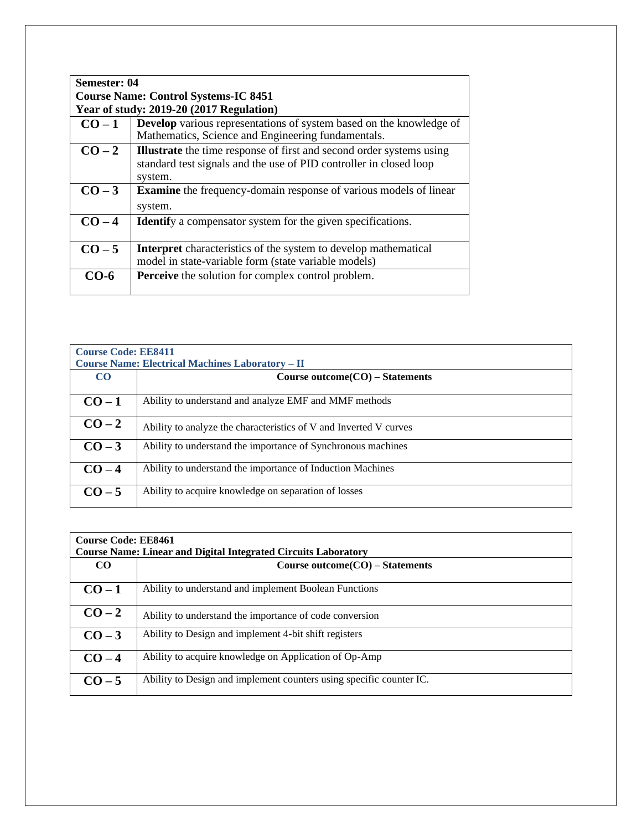| Semester: 04                                |                                                                             |  |
|---------------------------------------------|-----------------------------------------------------------------------------|--|
| <b>Course Name: Control Systems-IC 8451</b> |                                                                             |  |
|                                             | Year of study: 2019-20 (2017 Regulation)                                    |  |
| $CO-1$                                      | Develop various representations of system based on the knowledge of         |  |
|                                             | Mathematics, Science and Engineering fundamentals.                          |  |
| $CO-2$                                      | <b>Illustrate</b> the time response of first and second order systems using |  |
|                                             | standard test signals and the use of PID controller in closed loop          |  |
|                                             | system.                                                                     |  |
| $CO-3$                                      | <b>Examine</b> the frequency-domain response of various models of linear    |  |
|                                             | system.                                                                     |  |
| $CO-4$                                      | <b>Identify</b> a compensator system for the given specifications.          |  |
|                                             |                                                                             |  |
| $CO - 5$                                    | <b>Interpret</b> characteristics of the system to develop mathematical      |  |
|                                             | model in state-variable form (state variable models)                        |  |
| CO-6                                        | <b>Perceive</b> the solution for complex control problem.                   |  |
|                                             |                                                                             |  |

| <b>Course Code: EE8411</b> |                                                                   |  |
|----------------------------|-------------------------------------------------------------------|--|
|                            | <b>Course Name: Electrical Machines Laboratory – II</b>           |  |
| $\rm CO$                   | Course outcome $CO$ – Statements                                  |  |
| $CO-1$                     | Ability to understand and analyze EMF and MMF methods             |  |
| $CO-2$                     | Ability to analyze the characteristics of V and Inverted V curves |  |
| $CO-3$                     | Ability to understand the importance of Synchronous machines      |  |
| $CO-4$                     | Ability to understand the importance of Induction Machines        |  |
| $CO-5$                     | Ability to acquire knowledge on separation of losses              |  |

| <b>Course Code: EE8461</b><br><b>Course Name: Linear and Digital Integrated Circuits Laboratory</b> |                                                                     |  |
|-----------------------------------------------------------------------------------------------------|---------------------------------------------------------------------|--|
| $\bf CO$                                                                                            | Course outcome $(CO)$ – Statements                                  |  |
| $CO-1$                                                                                              | Ability to understand and implement Boolean Functions               |  |
| $CO-2$                                                                                              | Ability to understand the importance of code conversion             |  |
| $CO-3$                                                                                              | Ability to Design and implement 4-bit shift registers               |  |
| $CO-4$                                                                                              | Ability to acquire knowledge on Application of Op-Amp               |  |
| $CO-5$                                                                                              | Ability to Design and implement counters using specific counter IC. |  |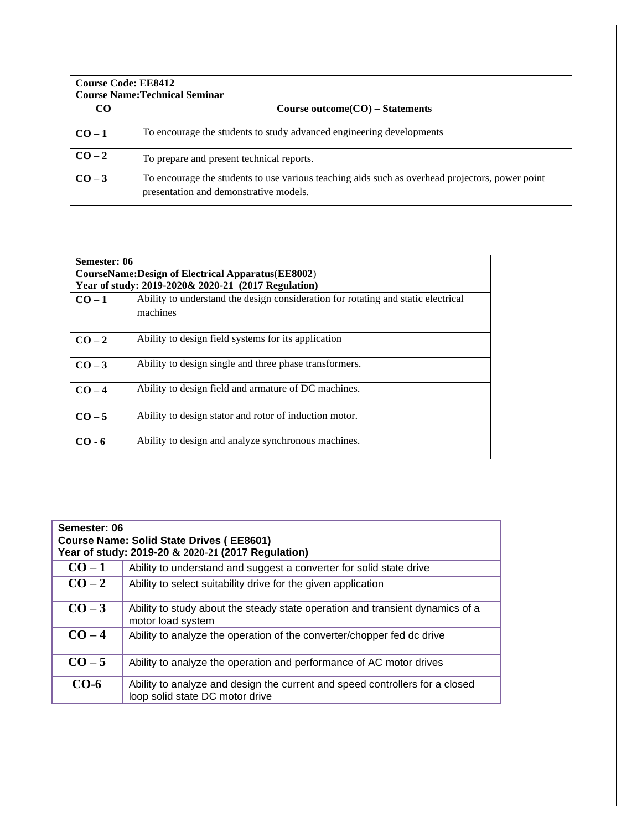| <b>Course Code: EE8412</b><br><b>Course Name: Technical Seminar</b> |                                                                                                                                           |  |
|---------------------------------------------------------------------|-------------------------------------------------------------------------------------------------------------------------------------------|--|
| CO <sub>0</sub>                                                     | Course outcome $CO$ – Statements                                                                                                          |  |
| $CO-1$                                                              | To encourage the students to study advanced engineering developments                                                                      |  |
| $CO-2$                                                              | To prepare and present technical reports.                                                                                                 |  |
| $CO-3$                                                              | To encourage the students to use various teaching aids such as overhead projectors, power point<br>presentation and demonstrative models. |  |

| Semester: 06 |                                                                                               |  |
|--------------|-----------------------------------------------------------------------------------------------|--|
|              | <b>CourseName:Design of Electrical Apparatus (EE8002)</b>                                     |  |
|              | Year of study: 2019-2020& 2020-21 (2017 Regulation)                                           |  |
| $CO-1$       | Ability to understand the design consideration for rotating and static electrical<br>machines |  |
| $CO-2$       | Ability to design field systems for its application                                           |  |
| $CO-3$       | Ability to design single and three phase transformers.                                        |  |
| $CO-4$       | Ability to design field and armature of DC machines.                                          |  |
| $CO - 5$     | Ability to design stator and rotor of induction motor.                                        |  |
| $CO - 6$     | Ability to design and analyze synchronous machines.                                           |  |

| Semester: 06<br><b>Course Name: Solid State Drives (EE8601)</b><br>Year of study: 2019-20 & 2020-21 (2017 Regulation) |                                                                                                                 |  |
|-----------------------------------------------------------------------------------------------------------------------|-----------------------------------------------------------------------------------------------------------------|--|
| $CO-1$                                                                                                                | Ability to understand and suggest a converter for solid state drive                                             |  |
| $CO-2$                                                                                                                | Ability to select suitability drive for the given application                                                   |  |
| $CO-3$                                                                                                                | Ability to study about the steady state operation and transient dynamics of a<br>motor load system              |  |
| $CO-4$                                                                                                                | Ability to analyze the operation of the converter/chopper fed dc drive                                          |  |
| $CO-5$                                                                                                                | Ability to analyze the operation and performance of AC motor drives                                             |  |
| $CO-6$                                                                                                                | Ability to analyze and design the current and speed controllers for a closed<br>loop solid state DC motor drive |  |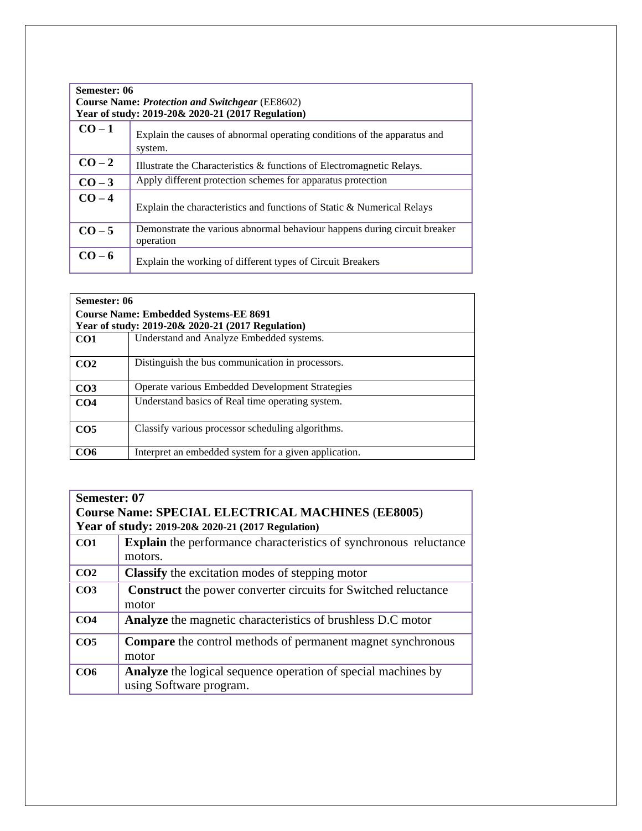| Semester: 06<br><b>Course Name: Protection and Switchgear (EE8602)</b><br>Year of study: 2019-20& 2020-21 (2017 Regulation) |                                                                                        |
|-----------------------------------------------------------------------------------------------------------------------------|----------------------------------------------------------------------------------------|
| $CO-1$                                                                                                                      | Explain the causes of abnormal operating conditions of the apparatus and<br>system.    |
| $CO-2$                                                                                                                      | Illustrate the Characteristics & functions of Electromagnetic Relays.                  |
| $CO-3$                                                                                                                      | Apply different protection schemes for apparatus protection                            |
| $CO - 4$                                                                                                                    | Explain the characteristics and functions of Static & Numerical Relays                 |
| $CO - 5$                                                                                                                    | Demonstrate the various abnormal behaviour happens during circuit breaker<br>operation |
| $CO - 6$                                                                                                                    | Explain the working of different types of Circuit Breakers                             |

| Semester: 06                                 |                                                       |
|----------------------------------------------|-------------------------------------------------------|
| <b>Course Name: Embedded Systems-EE 8691</b> |                                                       |
|                                              | Year of study: 2019-20& 2020-21 (2017 Regulation)     |
| CO <sub>1</sub>                              | Understand and Analyze Embedded systems.              |
| CO <sub>2</sub>                              | Distinguish the bus communication in processors.      |
| CO <sub>3</sub>                              | Operate various Embedded Development Strategies       |
| CO <sub>4</sub>                              | Understand basics of Real time operating system.      |
| CO <sub>5</sub>                              | Classify various processor scheduling algorithms.     |
| CO6                                          | Interpret an embedded system for a given application. |

| Semester: 07                                             |                                                                                          |  |
|----------------------------------------------------------|------------------------------------------------------------------------------------------|--|
| <b>Course Name: SPECIAL ELECTRICAL MACHINES (EE8005)</b> |                                                                                          |  |
| Year of study: 2019-20& 2020-21 (2017 Regulation)        |                                                                                          |  |
| CO <sub>1</sub>                                          | <b>Explain</b> the performance characteristics of synchronous reluctance                 |  |
|                                                          | motors.                                                                                  |  |
| CO <sub>2</sub>                                          | <b>Classify</b> the excitation modes of stepping motor                                   |  |
| CO <sub>3</sub>                                          | <b>Construct</b> the power converter circuits for Switched reluctance                    |  |
|                                                          | motor                                                                                    |  |
| CO <sub>4</sub>                                          | Analyze the magnetic characteristics of brushless D.C motor                              |  |
| CO <sub>5</sub>                                          | <b>Compare</b> the control methods of permanent magnet synchronous                       |  |
|                                                          | motor                                                                                    |  |
| CO <sub>6</sub>                                          | Analyze the logical sequence operation of special machines by<br>using Software program. |  |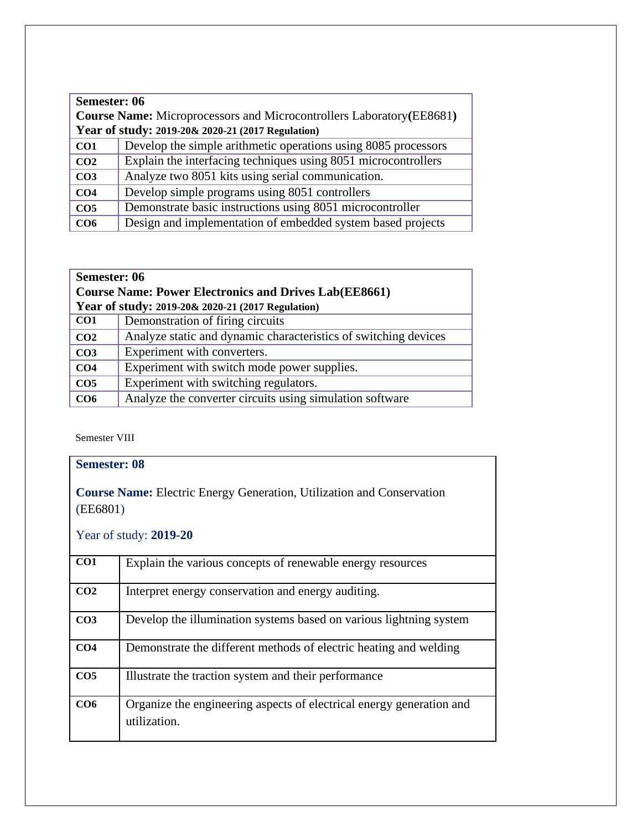| Semester: 06<br><b>Course Name:</b> Microprocessors and Microcontrollers Laboratory (EE8681)<br>Year of study: 2019-20& 2020-21 (2017 Regulation) |                                                                |
|---------------------------------------------------------------------------------------------------------------------------------------------------|----------------------------------------------------------------|
| CO <sub>1</sub>                                                                                                                                   | Develop the simple arithmetic operations using 8085 processors |
| CO <sub>2</sub>                                                                                                                                   | Explain the interfacing techniques using 8051 microcontrollers |
| CO <sub>3</sub>                                                                                                                                   | Analyze two 8051 kits using serial communication.              |
| CO <sub>4</sub>                                                                                                                                   | Develop simple programs using 8051 controllers                 |
| CO <sub>5</sub>                                                                                                                                   | Demonstrate basic instructions using 8051 microcontroller      |
| CO6                                                                                                                                               | Design and implementation of embedded system based projects    |

#### **Semester: 06 Course Name: Power Electronics and Drives Lab(EE8661) Year of study: 2019-20& 2020-21 (2017 Regulation) CO1** Demonstration of firing circuits **CO2** Analyze static and dynamic characteristics of switching devices **CO3** Experiment with converters. **CO4** Experiment with switch mode power supplies. **CO5** Experiment with switching regulators. **CO6** Analyze the converter circuits using simulation software

Semester VIII

| <b>Semester: 08</b>                                                                      |                                                                                      |  |
|------------------------------------------------------------------------------------------|--------------------------------------------------------------------------------------|--|
| <b>Course Name:</b> Electric Energy Generation, Utilization and Conservation<br>(EE6801) |                                                                                      |  |
| Year of study: 2019-20                                                                   |                                                                                      |  |
| CO1                                                                                      | Explain the various concepts of renewable energy resources                           |  |
| CO <sub>2</sub>                                                                          | Interpret energy conservation and energy auditing.                                   |  |
| CO <sub>3</sub>                                                                          | Develop the illumination systems based on various lightning system                   |  |
| CO <sub>4</sub>                                                                          | Demonstrate the different methods of electric heating and welding                    |  |
| CO <sub>5</sub>                                                                          | Illustrate the traction system and their performance                                 |  |
| CO6                                                                                      | Organize the engineering aspects of electrical energy generation and<br>utilization. |  |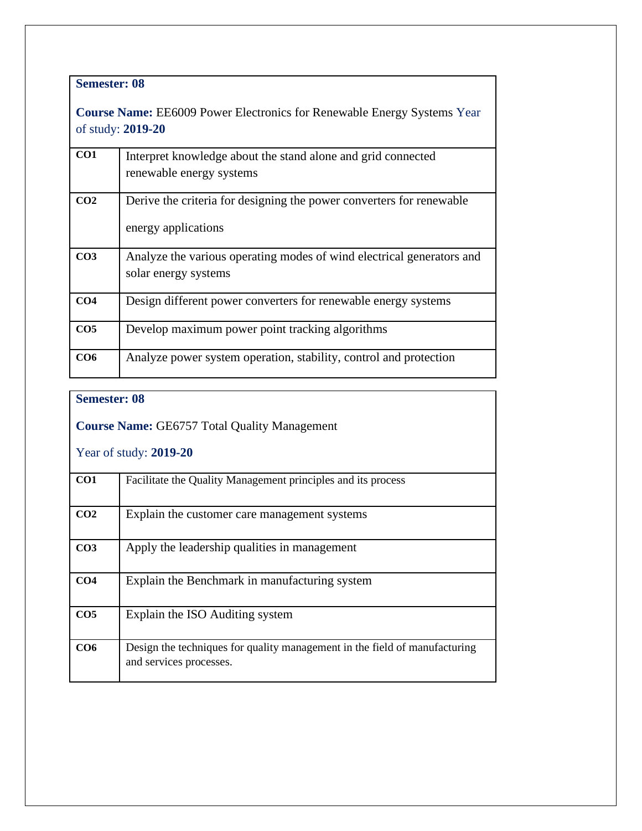## **Semester: 08**

**Course Name:** EE6009 Power Electronics for Renewable Energy Systems Year of study: **2019-20**

| CO1             | Interpret knowledge about the stand alone and grid connected<br>renewable energy systems      |
|-----------------|-----------------------------------------------------------------------------------------------|
| CO <sub>2</sub> | Derive the criteria for designing the power converters for renewable<br>energy applications   |
| CO <sub>3</sub> | Analyze the various operating modes of wind electrical generators and<br>solar energy systems |
| CO <sub>4</sub> | Design different power converters for renewable energy systems                                |
| CO <sub>5</sub> | Develop maximum power point tracking algorithms                                               |
| CO <sub>6</sub> | Analyze power system operation, stability, control and protection                             |

# **Semester: 08 Course Name:** GE6757 Total Quality Management Year of study: **2019-20 CO1** Facilitate the Quality Management principles and its process **CO2** Explain the customer care management systems **CO3** Apply the leadership qualities in management **CO4** Explain the Benchmark in manufacturing system **CO5** Explain the ISO Auditing system **CO6** Design the techniques for quality management in the field of manufacturing and services processes.